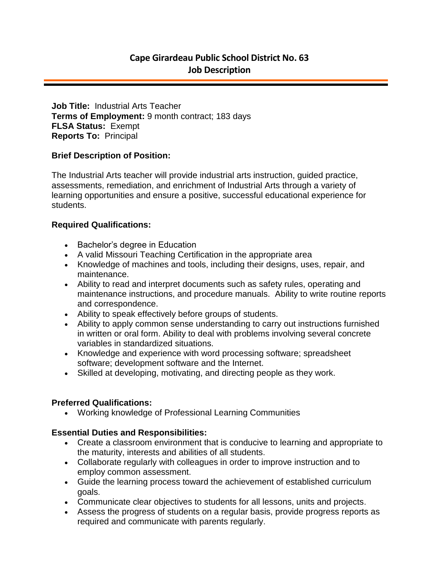**Job Title:** Industrial Arts Teacher **Terms of Employment:** 9 month contract; 183 days **FLSA Status:** Exempt **Reports To:** Principal

### **Brief Description of Position:**

The Industrial Arts teacher will provide industrial arts instruction, guided practice, assessments, remediation, and enrichment of Industrial Arts through a variety of learning opportunities and ensure a positive, successful educational experience for students.

### **Required Qualifications:**

- Bachelor's degree in Education
- A valid Missouri Teaching Certification in the appropriate area
- Knowledge of machines and tools, including their designs, uses, repair, and maintenance.
- Ability to read and interpret documents such as safety rules, operating and maintenance instructions, and procedure manuals. Ability to write routine reports and correspondence.
- Ability to speak effectively before groups of students.
- Ability to apply common sense understanding to carry out instructions furnished in written or oral form. Ability to deal with problems involving several concrete variables in standardized situations.
- Knowledge and experience with word processing software; spreadsheet software; development software and the Internet.
- Skilled at developing, motivating, and directing people as they work.

#### **Preferred Qualifications:**

Working knowledge of Professional Learning Communities

## **Essential Duties and Responsibilities:**

- Create a classroom environment that is conducive to learning and appropriate to the maturity, interests and abilities of all students.
- Collaborate regularly with colleagues in order to improve instruction and to employ common assessment.
- Guide the learning process toward the achievement of established curriculum goals.
- Communicate clear objectives to students for all lessons, units and projects.
- Assess the progress of students on a regular basis, provide progress reports as required and communicate with parents regularly.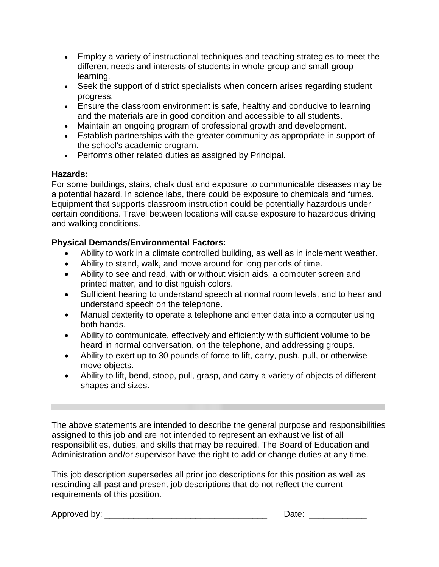- Employ a variety of instructional techniques and teaching strategies to meet the different needs and interests of students in whole-group and small-group learning.
- Seek the support of district specialists when concern arises regarding student progress.
- Ensure the classroom environment is safe, healthy and conducive to learning and the materials are in good condition and accessible to all students.
- Maintain an ongoing program of professional growth and development.
- Establish partnerships with the greater community as appropriate in support of the school's academic program.
- Performs other related duties as assigned by Principal.

# **Hazards:**

For some buildings, stairs, chalk dust and exposure to communicable diseases may be a potential hazard. In science labs, there could be exposure to chemicals and fumes. Equipment that supports classroom instruction could be potentially hazardous under certain conditions. Travel between locations will cause exposure to hazardous driving and walking conditions.

# **Physical Demands/Environmental Factors:**

- Ability to work in a climate controlled building, as well as in inclement weather.
- Ability to stand, walk, and move around for long periods of time.
- Ability to see and read, with or without vision aids, a computer screen and printed matter, and to distinguish colors.
- Sufficient hearing to understand speech at normal room levels, and to hear and understand speech on the telephone.
- Manual dexterity to operate a telephone and enter data into a computer using both hands.
- Ability to communicate, effectively and efficiently with sufficient volume to be heard in normal conversation, on the telephone, and addressing groups.
- Ability to exert up to 30 pounds of force to lift, carry, push, pull, or otherwise move objects.
- Ability to lift, bend, stoop, pull, grasp, and carry a variety of objects of different shapes and sizes.

The above statements are intended to describe the general purpose and responsibilities assigned to this job and are not intended to represent an exhaustive list of all responsibilities, duties, and skills that may be required. The Board of Education and Administration and/or supervisor have the right to add or change duties at any time.

This job description supersedes all prior job descriptions for this position as well as rescinding all past and present job descriptions that do not reflect the current requirements of this position.

Approved by: \_\_\_\_\_\_\_\_\_\_\_\_\_\_\_\_\_\_\_\_\_\_\_\_\_\_\_\_\_\_\_\_\_\_ Date: \_\_\_\_\_\_\_\_\_\_\_\_